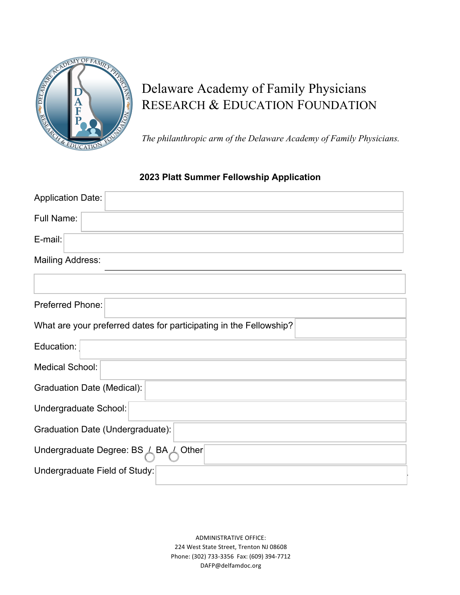

# Delaware Academy of Family Physicians RESEARCH & EDUCATION FOUNDATION

*The philanthropic arm of the Delaware Academy of Family Physicians.*

## **2023 Platt Summer Fellowship Application**

| <b>Application Date:</b>                                           |
|--------------------------------------------------------------------|
| Full Name:                                                         |
| E-mail:                                                            |
| <b>Mailing Address:</b>                                            |
|                                                                    |
| Preferred Phone:                                                   |
| What are your preferred dates for participating in the Fellowship? |
| Education:                                                         |
| <b>Medical School:</b>                                             |
| <b>Graduation Date (Medical):</b>                                  |
| Undergraduate School:                                              |
| Graduation Date (Undergraduate):                                   |
| Undergraduate Degree: BS $\angle$ BA $\angle$<br>Other             |
| Undergraduate Field of Study:                                      |

ADMINISTRATIVE OFFICE: 224 West State Street, Trenton NJ 08608 Phone: (302) 733-3356 Fax: (609) 394-7712 DAFP@delfamdoc.org